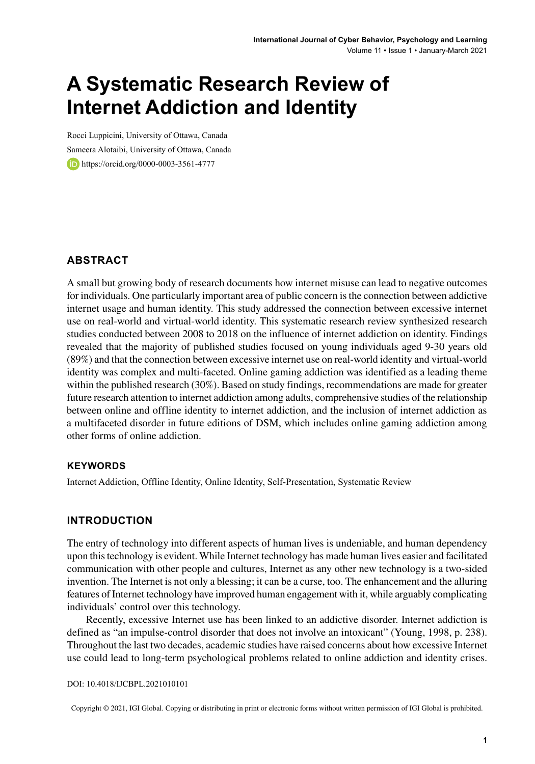# **A Systematic Research Review of Internet Addiction and Identity**

Rocci Luppicini, University of Ottawa, Canada Sameera Alotaibi, University of Ottawa, Canada https://orcid.org/0000-0003-3561-4777

#### **ABSTRACT**

A small but growing body of research documents how internet misuse can lead to negative outcomes for individuals. One particularly important area of public concern isthe connection between addictive internet usage and human identity. This study addressed the connection between excessive internet use on real-world and virtual-world identity. This systematic research review synthesized research studies conducted between 2008 to 2018 on the influence of internet addiction on identity. Findings revealed that the majority of published studies focused on young individuals aged 9-30 years old (89%) and that the connection between excessive internet use on real-world identity and virtual-world identity was complex and multi-faceted. Online gaming addiction was identified as a leading theme within the published research (30%). Based on study findings, recommendations are made for greater future research attention to internet addiction among adults, comprehensive studies of the relationship between online and offline identity to internet addiction, and the inclusion of internet addiction as a multifaceted disorder in future editions of DSM, which includes online gaming addiction among other forms of online addiction.

#### **Keywords**

Internet Addiction, Offline Identity, Online Identity, Self-Presentation, Systematic Review

#### **INTRODUCTION**

The entry of technology into different aspects of human lives is undeniable, and human dependency upon thistechnology is evident. While Internet technology has made human lives easier and facilitated communication with other people and cultures, Internet as any other new technology is a two-sided invention. The Internet is not only a blessing; it can be a curse, too. The enhancement and the alluring features of Internet technology have improved human engagement with it, while arguably complicating individuals' control over this technology.

Recently, excessive Internet use has been linked to an addictive disorder. Internet addiction is defined as "an impulse-control disorder that does not involve an intoxicant" (Young, 1998, p. 238). Throughout the last two decades, academic studies have raised concerns about how excessive Internet use could lead to long-term psychological problems related to online addiction and identity crises.

DOI: 10.4018/IJCBPL.2021010101

Copyright © 2021, IGI Global. Copying or distributing in print or electronic forms without written permission of IGI Global is prohibited.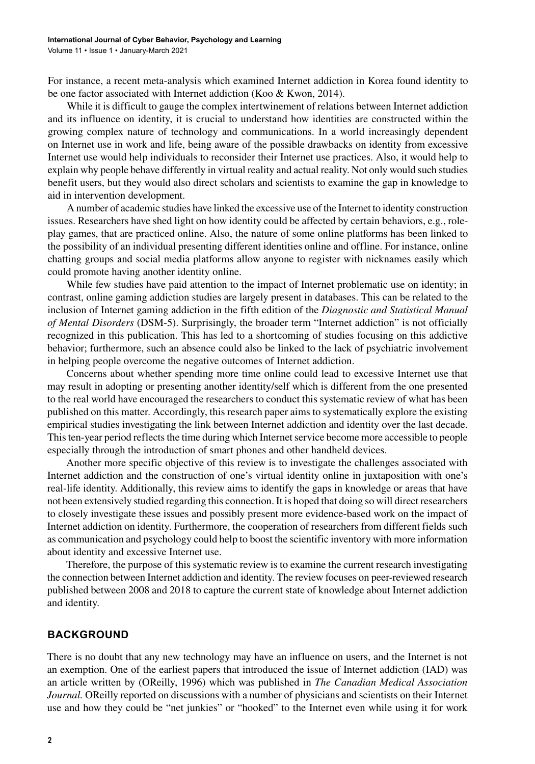For instance, a recent meta-analysis which examined Internet addiction in Korea found identity to be one factor associated with Internet addiction (Koo & Kwon, 2014).

While it is difficult to gauge the complex intertwinement of relations between Internet addiction and its influence on identity, it is crucial to understand how identities are constructed within the growing complex nature of technology and communications. In a world increasingly dependent on Internet use in work and life, being aware of the possible drawbacks on identity from excessive Internet use would help individuals to reconsider their Internet use practices. Also, it would help to explain why people behave differently in virtual reality and actual reality. Not only would such studies benefit users, but they would also direct scholars and scientists to examine the gap in knowledge to aid in intervention development.

A number of academic studies have linked the excessive use of the Internet to identity construction issues. Researchers have shed light on how identity could be affected by certain behaviors, e.g., roleplay games, that are practiced online. Also, the nature of some online platforms has been linked to the possibility of an individual presenting different identities online and offline. For instance, online chatting groups and social media platforms allow anyone to register with nicknames easily which could promote having another identity online.

While few studies have paid attention to the impact of Internet problematic use on identity; in contrast, online gaming addiction studies are largely present in databases. This can be related to the inclusion of Internet gaming addiction in the fifth edition of the *Diagnostic and Statistical Manual of Mental Disorders* (DSM-5). Surprisingly, the broader term "Internet addiction" is not officially recognized in this publication. This has led to a shortcoming of studies focusing on this addictive behavior; furthermore, such an absence could also be linked to the lack of psychiatric involvement in helping people overcome the negative outcomes of Internet addiction.

Concerns about whether spending more time online could lead to excessive Internet use that may result in adopting or presenting another identity/self which is different from the one presented to the real world have encouraged the researchers to conduct this systematic review of what has been published on this matter. Accordingly, this research paper aims to systematically explore the existing empirical studies investigating the link between Internet addiction and identity over the last decade. This ten-year period reflects the time during which Internet service become more accessible to people especially through the introduction of smart phones and other handheld devices.

Another more specific objective of this review is to investigate the challenges associated with Internet addiction and the construction of one's virtual identity online in juxtaposition with one's real-life identity. Additionally, this review aims to identify the gaps in knowledge or areas that have not been extensively studied regarding this connection. It is hoped that doing so will direct researchers to closely investigate these issues and possibly present more evidence-based work on the impact of Internet addiction on identity. Furthermore, the cooperation of researchers from different fields such as communication and psychology could help to boost the scientific inventory with more information about identity and excessive Internet use.

Therefore, the purpose of this systematic review is to examine the current research investigating the connection between Internet addiction and identity. The review focuses on peer-reviewed research published between 2008 and 2018 to capture the current state of knowledge about Internet addiction and identity.

#### **BACKGROUND**

There is no doubt that any new technology may have an influence on users, and the Internet is not an exemption. One of the earliest papers that introduced the issue of Internet addiction (IAD) was an article written by (OReilly, 1996) which was published in *The Canadian Medical Association Journal.* OReilly reported on discussions with a number of physicians and scientists on their Internet use and how they could be "net junkies" or "hooked" to the Internet even while using it for work